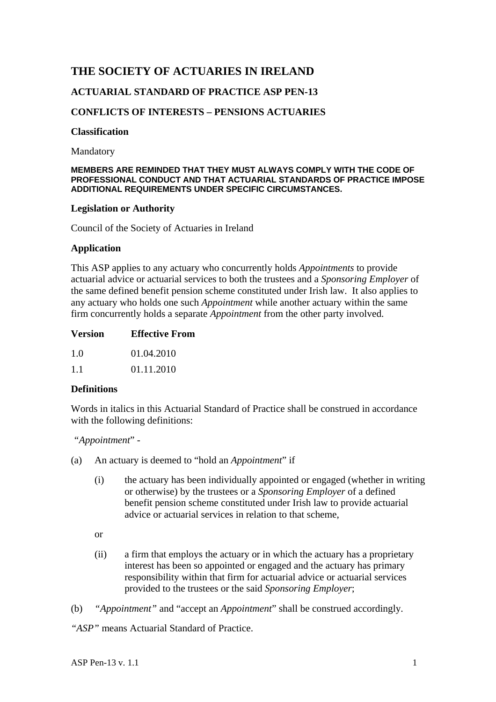# **THE SOCIETY OF ACTUARIES IN IRELAND**

## **ACTUARIAL STANDARD OF PRACTICE ASP PEN-13**

## **CONFLICTS OF INTERESTS – PENSIONS ACTUARIES**

#### **Classification**

Mandatory

#### **MEMBERS ARE REMINDED THAT THEY MUST ALWAYS COMPLY WITH THE CODE OF PROFESSIONAL CONDUCT AND THAT ACTUARIAL STANDARDS OF PRACTICE IMPOSE ADDITIONAL REQUIREMENTS UNDER SPECIFIC CIRCUMSTANCES.**

#### **Legislation or Authority**

Council of the Society of Actuaries in Ireland

#### **Application**

This ASP applies to any actuary who concurrently holds *Appointments* to provide actuarial advice or actuarial services to both the trustees and a *Sponsoring Employer* of the same defined benefit pension scheme constituted under Irish law. It also applies to any actuary who holds one such *Appointment* while another actuary within the same firm concurrently holds a separate *Appointment* from the other party involved.

1.1 01.11.2010

## **Definitions**

Words in italics in this Actuarial Standard of Practice shall be construed in accordance with the following definitions:

 *"Appointment*" -

- (a) An actuary is deemed to "hold an *Appointment*" if
	- (i) the actuary has been individually appointed or engaged (whether in writing or otherwise) by the trustees or a *Sponsoring Employer* of a defined benefit pension scheme constituted under Irish law to provide actuarial advice or actuarial services in relation to that scheme,

or

- (ii) a firm that employs the actuary or in which the actuary has a proprietary interest has been so appointed or engaged and the actuary has primary responsibility within that firm for actuarial advice or actuarial services provided to the trustees or the said *Sponsoring Employer*;
- (b) *"Appointment"* and "accept an *Appointment*" shall be construed accordingly.

*"ASP"* means Actuarial Standard of Practice.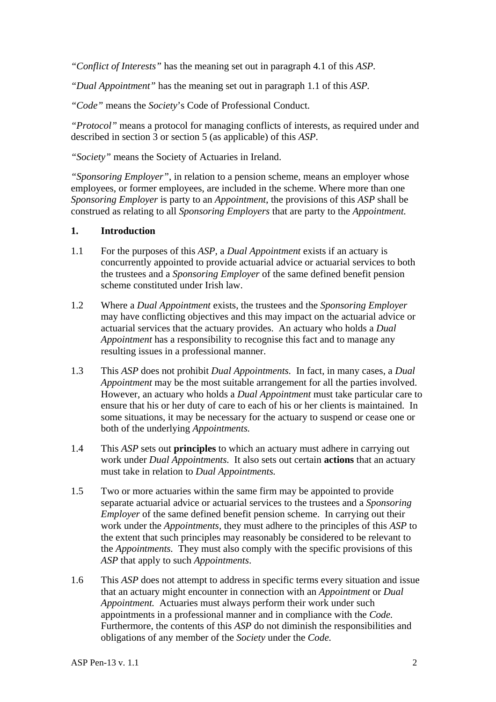*"Conflict of Interests"* has the meaning set out in paragraph 4.1 of this *ASP.* 

*"Dual Appointment"* has the meaning set out in paragraph 1.1 of this *ASP.*

*"Code"* means the *Society*'s Code of Professional Conduct.

*"Protocol"* means a protocol for managing conflicts of interests, as required under and described in section 3 or section 5 (as applicable) of this *ASP*.

*"Society"* means the Society of Actuaries in Ireland.

*"Sponsoring Employer"*, in relation to a pension scheme, means an employer whose employees, or former employees, are included in the scheme. Where more than one *Sponsoring Employer* is party to an *Appointment*, the provisions of this *ASP* shall be construed as relating to all *Sponsoring Employers* that are party to the *Appointment.* 

#### **1. Introduction**

- 1.1 For the purposes of this *ASP,* a *Dual Appointment* exists if an actuary is concurrently appointed to provide actuarial advice or actuarial services to both the trustees and a *Sponsoring Employer* of the same defined benefit pension scheme constituted under Irish law.
- 1.2 Where a *Dual Appointment* exists, the trustees and the *Sponsoring Employer*  may have conflicting objectives and this may impact on the actuarial advice or actuarial services that the actuary provides. An actuary who holds a *Dual Appointment* has a responsibility to recognise this fact and to manage any resulting issues in a professional manner.
- 1.3 This *ASP* does not prohibit *Dual Appointments.* In fact, in many cases, a *Dual Appointment* may be the most suitable arrangement for all the parties involved. However, an actuary who holds a *Dual Appointment* must take particular care to ensure that his or her duty of care to each of his or her clients is maintained. In some situations, it may be necessary for the actuary to suspend or cease one or both of the underlying *Appointments.*
- 1.4 This *ASP* sets out **principles** to which an actuary must adhere in carrying out work under *Dual Appointments.* It also sets out certain **actions** that an actuary must take in relation to *Dual Appointments.*
- 1.5 Two or more actuaries within the same firm may be appointed to provide separate actuarial advice or actuarial services to the trustees and a *Sponsoring Employer* of the same defined benefit pension scheme. In carrying out their work under the *Appointments,* they must adhere to the principles of this *ASP* to the extent that such principles may reasonably be considered to be relevant to the *Appointments.* They must also comply with the specific provisions of this *ASP* that apply to such *Appointments*.
- 1.6 This *ASP* does not attempt to address in specific terms every situation and issue that an actuary might encounter in connection with an *Appointment* or *Dual Appointment.* Actuaries must always perform their work under such appointments in a professional manner and in compliance with the *Code.*  Furthermore, the contents of this *ASP* do not diminish the responsibilities and obligations of any member of the *Society* under the *Code.*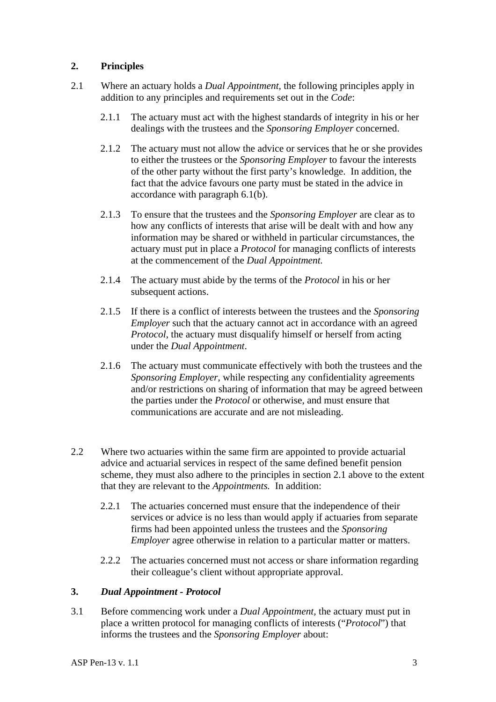## **2. Principles**

- 2.1 Where an actuary holds a *Dual Appointment,* the following principles apply in addition to any principles and requirements set out in the *Code*:
	- 2.1.1 The actuary must act with the highest standards of integrity in his or her dealings with the trustees and the *Sponsoring Employer* concerned.
	- 2.1.2 The actuary must not allow the advice or services that he or she provides to either the trustees or the *Sponsoring Employer* to favour the interests of the other party without the first party's knowledge. In addition, the fact that the advice favours one party must be stated in the advice in accordance with paragraph 6.1(b).
	- 2.1.3 To ensure that the trustees and the *Sponsoring Employer* are clear as to how any conflicts of interests that arise will be dealt with and how any information may be shared or withheld in particular circumstances, the actuary must put in place a *Protocol* for managing conflicts of interests at the commencement of the *Dual Appointment.*
	- 2.1.4 The actuary must abide by the terms of the *Protocol* in his or her subsequent actions.
	- 2.1.5 If there is a conflict of interests between the trustees and the *Sponsoring Employer* such that the actuary cannot act in accordance with an agreed *Protocol*, the actuary must disqualify himself or herself from acting under the *Dual Appointment*.
	- 2.1.6 The actuary must communicate effectively with both the trustees and the *Sponsoring Employer*, while respecting any confidentiality agreements and/or restrictions on sharing of information that may be agreed between the parties under the *Protocol* or otherwise, and must ensure that communications are accurate and are not misleading.
- 2.2 Where two actuaries within the same firm are appointed to provide actuarial advice and actuarial services in respect of the same defined benefit pension scheme, they must also adhere to the principles in section 2.1 above to the extent that they are relevant to the *Appointments.* In addition:
	- 2.2.1 The actuaries concerned must ensure that the independence of their services or advice is no less than would apply if actuaries from separate firms had been appointed unless the trustees and the *Sponsoring Employer* agree otherwise in relation to a particular matter or matters.
	- 2.2.2 The actuaries concerned must not access or share information regarding their colleague's client without appropriate approval.

#### **3.** *Dual Appointment - Protocol*

3.1 Before commencing work under a *Dual Appointment,* the actuary must put in place a written protocol for managing conflicts of interests ("*Protocol*") that informs the trustees and the *Sponsoring Employer* about: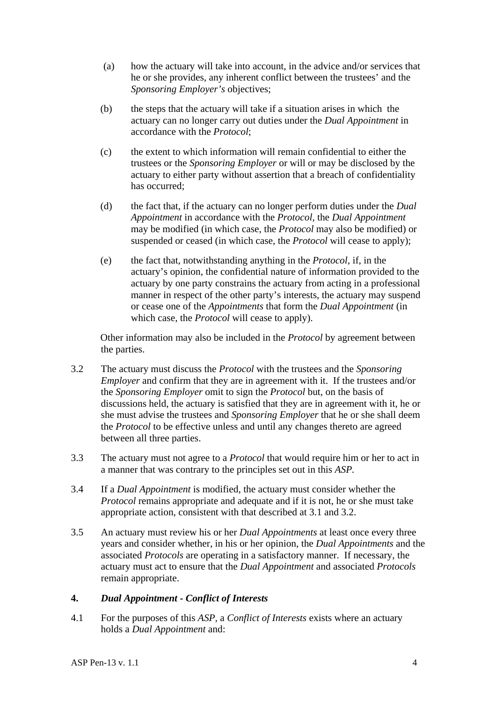- (a) how the actuary will take into account, in the advice and/or services that he or she provides, any inherent conflict between the trustees' and the *Sponsoring Employer's* objectives;
- (b) the steps that the actuary will take if a situation arises in which the actuary can no longer carry out duties under the *Dual Appointment* in accordance with the *Protocol*;
- (c) the extent to which information will remain confidential to either the trustees or the *Sponsoring Employer* or will or may be disclosed by the actuary to either party without assertion that a breach of confidentiality has occurred;
- (d) the fact that, if the actuary can no longer perform duties under the *Dual Appointment* in accordance with the *Protocol,* the *Dual Appointment*  may be modified (in which case, the *Protocol* may also be modified) or suspended or ceased (in which case, the *Protocol* will cease to apply);
- (e) the fact that, notwithstanding anything in the *Protocol*, if, in the actuary's opinion, the confidential nature of information provided to the actuary by one party constrains the actuary from acting in a professional manner in respect of the other party's interests, the actuary may suspend or cease one of the *Appointments* that form the *Dual Appointment* (in which case, the *Protocol* will cease to apply).

Other information may also be included in the *Protocol* by agreement between the parties.

- 3.2 The actuary must discuss the *Protocol* with the trustees and the *Sponsoring Employer* and confirm that they are in agreement with it. If the trustees and/or the *Sponsoring Employer* omit to sign the *Protocol* but, on the basis of discussions held, the actuary is satisfied that they are in agreement with it, he or she must advise the trustees and *Sponsoring Employer* that he or she shall deem the *Protocol* to be effective unless and until any changes thereto are agreed between all three parties.
- 3.3 The actuary must not agree to a *Protocol* that would require him or her to act in a manner that was contrary to the principles set out in this *ASP.*
- 3.4 If a *Dual Appointment* is modified, the actuary must consider whether the *Protocol* remains appropriate and adequate and if it is not, he or she must take appropriate action, consistent with that described at 3.1 and 3.2.
- 3.5 An actuary must review his or her *Dual Appointments* at least once every three years and consider whether, in his or her opinion, the *Dual Appointments* and the associated *Protocols* are operating in a satisfactory manner. If necessary, the actuary must act to ensure that the *Dual Appointment* and associated *Protocols*  remain appropriate.

## **4.** *Dual Appointment - Conflict of Interests*

4.1 For the purposes of this *ASP,* a *Conflict of Interests* exists where an actuary holds a *Dual Appointment* and: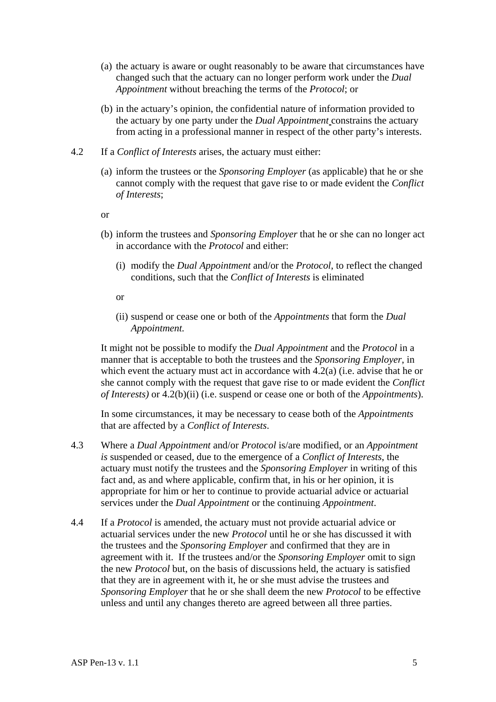- (a) the actuary is aware or ought reasonably to be aware that circumstances have changed such that the actuary can no longer perform work under the *Dual Appointment* without breaching the terms of the *Protocol*; or
- (b) in the actuary's opinion, the confidential nature of information provided to the actuary by one party under the *Dual Appointment* constrains the actuary from acting in a professional manner in respect of the other party's interests.
- 4.2 If a *Conflict of Interests* arises, the actuary must either:
	- (a) inform the trustees or the *Sponsoring Employer* (as applicable) that he or she cannot comply with the request that gave rise to or made evident the *Conflict of Interests*;
	- or
	- (b) inform the trustees and *Sponsoring Employer* that he or she can no longer act in accordance with the *Protocol* and either:
		- (i) modify the *Dual Appointment* and/or the *Protocol*, to reflect the changed conditions, such that the *Conflict of Interests* is eliminated
		- or
		- (ii) suspend or cease one or both of the *Appointments* that form the *Dual Appointment.*

It might not be possible to modify the *Dual Appointment* and the *Protocol* in a manner that is acceptable to both the trustees and the *Sponsoring Employer*, in which event the actuary must act in accordance with 4.2(a) (i.e. advise that he or she cannot comply with the request that gave rise to or made evident the *Conflict of Interests)* or 4.2(b)(ii) (i.e. suspend or cease one or both of the *Appointments*).

In some circumstances, it may be necessary to cease both of the *Appointments* that are affected by a *Conflict of Interests*.

- 4.3 Where a *Dual Appointment* and/or *Protocol* is/are modified, or an *Appointment is* suspended or ceased, due to the emergence of a *Conflict of Interests*, the actuary must notify the trustees and the *Sponsoring Employer* in writing of this fact and, as and where applicable, confirm that, in his or her opinion, it is appropriate for him or her to continue to provide actuarial advice or actuarial services under the *Dual Appointment* or the continuing *Appointment*.
- 4.4 If a *Protocol* is amended, the actuary must not provide actuarial advice or actuarial services under the new *Protocol* until he or she has discussed it with the trustees and the *Sponsoring Employer* and confirmed that they are in agreement with it. If the trustees and/or the *Sponsoring Employer* omit to sign the new *Protocol* but, on the basis of discussions held, the actuary is satisfied that they are in agreement with it, he or she must advise the trustees and *Sponsoring Employer* that he or she shall deem the new *Protocol* to be effective unless and until any changes thereto are agreed between all three parties.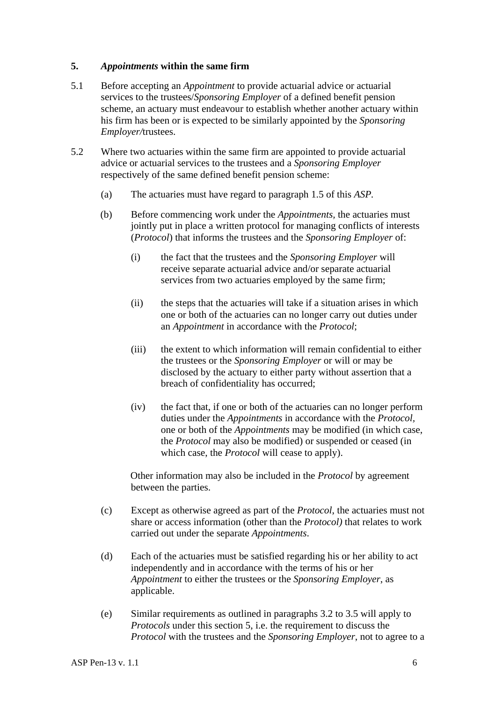#### **5.** *Appointments* **within the same firm**

- 5.1 Before accepting an *Appointment* to provide actuarial advice or actuarial services to the trustees/*Sponsoring Employer* of a defined benefit pension scheme*,* an actuary must endeavour to establish whether another actuary within his firm has been or is expected to be similarly appointed by the *Sponsoring Employer/*trustees.
- 5.2 Where two actuaries within the same firm are appointed to provide actuarial advice or actuarial services to the trustees and a *Sponsoring Employer* respectively of the same defined benefit pension scheme:
	- (a) The actuaries must have regard to paragraph 1.5 of this *ASP.*
	- (b) Before commencing work under the *Appointments,* the actuaries must jointly put in place a written protocol for managing conflicts of interests (*Protocol*) that informs the trustees and the *Sponsoring Employer* of:
		- (i) the fact that the trustees and the *Sponsoring Employer* will receive separate actuarial advice and/or separate actuarial services from two actuaries employed by the same firm;
		- (ii) the steps that the actuaries will take if a situation arises in which one or both of the actuaries can no longer carry out duties under an *Appointment* in accordance with the *Protocol*;
		- (iii) the extent to which information will remain confidential to either the trustees or the *Sponsoring Employer* or will or may be disclosed by the actuary to either party without assertion that a breach of confidentiality has occurred;
		- (iv) the fact that, if one or both of the actuaries can no longer perform duties under the *Appointments* in accordance with the *Protocol,* one or both of the *Appointments* may be modified (in which case, the *Protocol* may also be modified) or suspended or ceased (in which case, the *Protocol* will cease to apply).

Other information may also be included in the *Protocol* by agreement between the parties.

- (c) Except as otherwise agreed as part of the *Protocol*, the actuaries must not share or access information (other than the *Protocol)* that relates to work carried out under the separate *Appointments*.
- (d) Each of the actuaries must be satisfied regarding his or her ability to act independently and in accordance with the terms of his or her *Appointment* to either the trustees or the *Sponsoring Employer*, as applicable.
- (e) Similar requirements as outlined in paragraphs 3.2 to 3.5 will apply to *Protocols* under this section 5, i.e. the requirement to discuss the *Protocol* with the trustees and the *Sponsoring Employer*, not to agree to a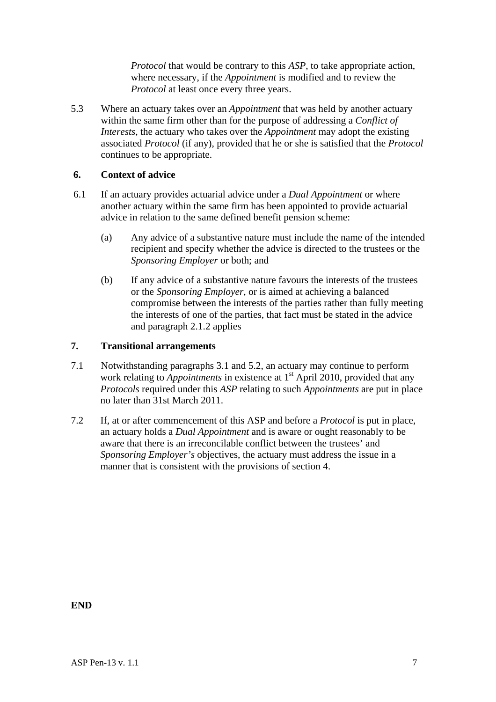*Protocol* that would be contrary to this *ASP*, to take appropriate action, where necessary, if the *Appointment* is modified and to review the *Protocol* at least once every three years.

5.3 Where an actuary takes over an *Appointment* that was held by another actuary within the same firm other than for the purpose of addressing a *Conflict of Interests*, the actuary who takes over the *Appointment* may adopt the existing associated *Protocol* (if any), provided that he or she is satisfied that the *Protocol* continues to be appropriate.

#### **6. Context of advice**

- 6.1 If an actuary provides actuarial advice under a *Dual Appointment* or where another actuary within the same firm has been appointed to provide actuarial advice in relation to the same defined benefit pension scheme:
	- (a) Any advice of a substantive nature must include the name of the intended recipient and specify whether the advice is directed to the trustees or the *Sponsoring Employer* or both; and
	- (b) If any advice of a substantive nature favours the interests of the trustees or the *Sponsoring Employer*, or is aimed at achieving a balanced compromise between the interests of the parties rather than fully meeting the interests of one of the parties, that fact must be stated in the advice and paragraph 2.1.2 applies

## **7. Transitional arrangements**

- 7.1 Notwithstanding paragraphs 3.1 and 5.2, an actuary may continue to perform work relating to *Appointments* in existence at 1<sup>st</sup> April 2010, provided that any *Protocols* required under this *ASP* relating to such *Appointments* are put in place no later than 31st March 2011.
- 7.2 If, at or after commencement of this ASP and before a *Protocol* is put in place, an actuary holds a *Dual Appointment* and is aware or ought reasonably to be aware that there is an irreconcilable conflict between the trustees' and *Sponsoring Employer's* objectives, the actuary must address the issue in a manner that is consistent with the provisions of section 4.

**END**